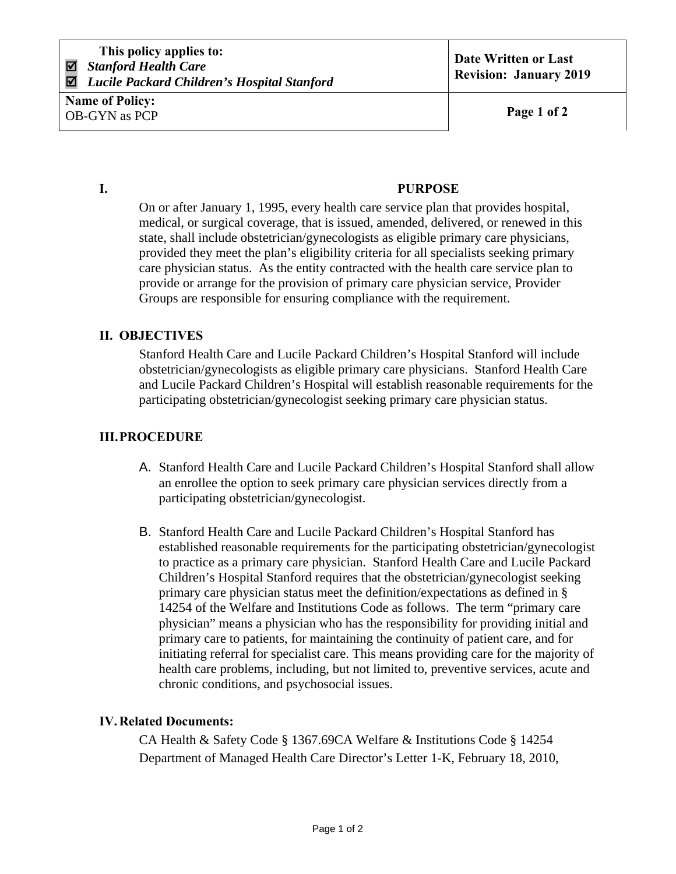# **I. PURPOSE**

On or after January 1, 1995, every health care service plan that provides hospital, medical, or surgical coverage, that is issued, amended, delivered, or renewed in this state, shall include obstetrician/gynecologists as eligible primary care physicians, provided they meet the plan's eligibility criteria for all specialists seeking primary care physician status. As the entity contracted with the health care service plan to provide or arrange for the provision of primary care physician service, Provider Groups are responsible for ensuring compliance with the requirement.

### **II. OBJECTIVES**

Stanford Health Care and Lucile Packard Children's Hospital Stanford will include obstetrician/gynecologists as eligible primary care physicians. Stanford Health Care and Lucile Packard Children's Hospital will establish reasonable requirements for the participating obstetrician/gynecologist seeking primary care physician status.

## **III.PROCEDURE**

- A. Stanford Health Care and Lucile Packard Children's Hospital Stanford shall allow an enrollee the option to seek primary care physician services directly from a participating obstetrician/gynecologist.
- B. Stanford Health Care and Lucile Packard Children's Hospital Stanford has established reasonable requirements for the participating obstetrician/gynecologist to practice as a primary care physician. Stanford Health Care and Lucile Packard Children's Hospital Stanford requires that the obstetrician/gynecologist seeking primary care physician status meet the definition/expectations as defined in § 14254 of the Welfare and Institutions Code as follows. The term "primary care physician" means a physician who has the responsibility for providing initial and primary care to patients, for maintaining the continuity of patient care, and for initiating referral for specialist care. This means providing care for the majority of health care problems, including, but not limited to, preventive services, acute and chronic conditions, and psychosocial issues.

#### **IV.Related Documents:**

CA Health & Safety Code § 1367.69CA Welfare & Institutions Code § 14254 Department of Managed Health Care Director's Letter 1-K, February 18, 2010,